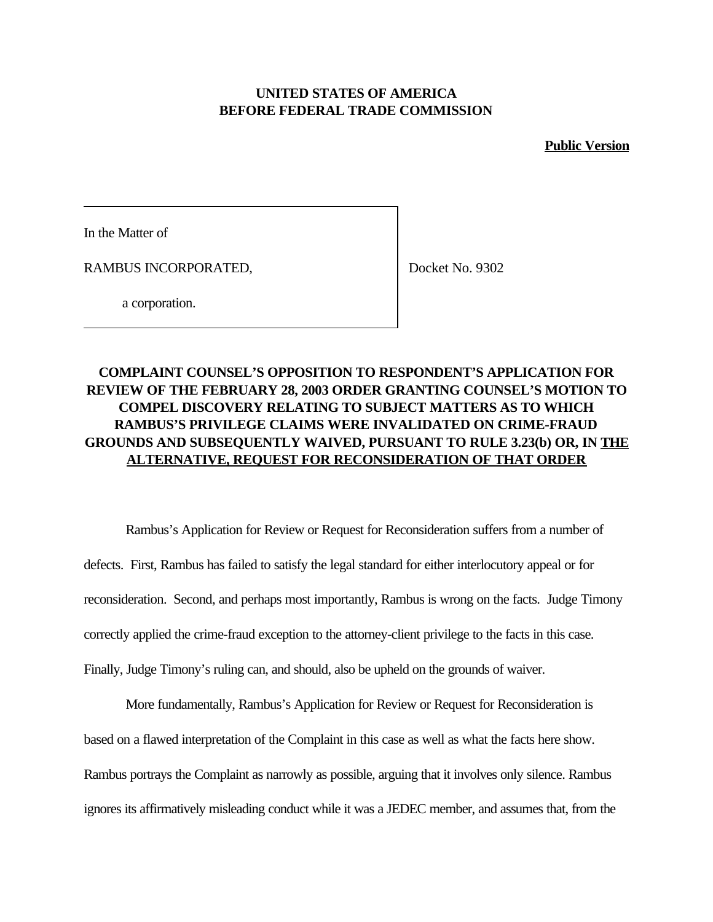## **UNITED STATES OF AMERICA BEFORE FEDERAL TRADE COMMISSION**

**Public Version**

In the Matter of

RAMBUS INCORPORATED,

Docket No. 9302

a corporation.

# **COMPLAINT COUNSEL'S OPPOSITION TO RESPONDENT'S APPLICATION FOR REVIEW OF THE FEBRUARY 28, 2003 ORDER GRANTING COUNSEL'S MOTION TO COMPEL DISCOVERY RELATING TO SUBJECT MATTERS AS TO WHICH RAMBUS'S PRIVILEGE CLAIMS WERE INVALIDATED ON CRIME-FRAUD GROUNDS AND SUBSEQUENTLY WAIVED, PURSUANT TO RULE 3.23(b) OR, IN THE ALTERNATIVE, REQUEST FOR RECONSIDERATION OF THAT ORDER**

Rambus's Application for Review or Request for Reconsideration suffers from a number of defects. First, Rambus has failed to satisfy the legal standard for either interlocutory appeal or for reconsideration. Second, and perhaps most importantly, Rambus is wrong on the facts. Judge Timony correctly applied the crime-fraud exception to the attorney-client privilege to the facts in this case. Finally, Judge Timony's ruling can, and should, also be upheld on the grounds of waiver.

More fundamentally, Rambus's Application for Review or Request for Reconsideration is based on a flawed interpretation of the Complaint in this case as well as what the facts here show. Rambus portrays the Complaint as narrowly as possible, arguing that it involves only silence. Rambus ignores its affirmatively misleading conduct while it was a JEDEC member, and assumes that, from the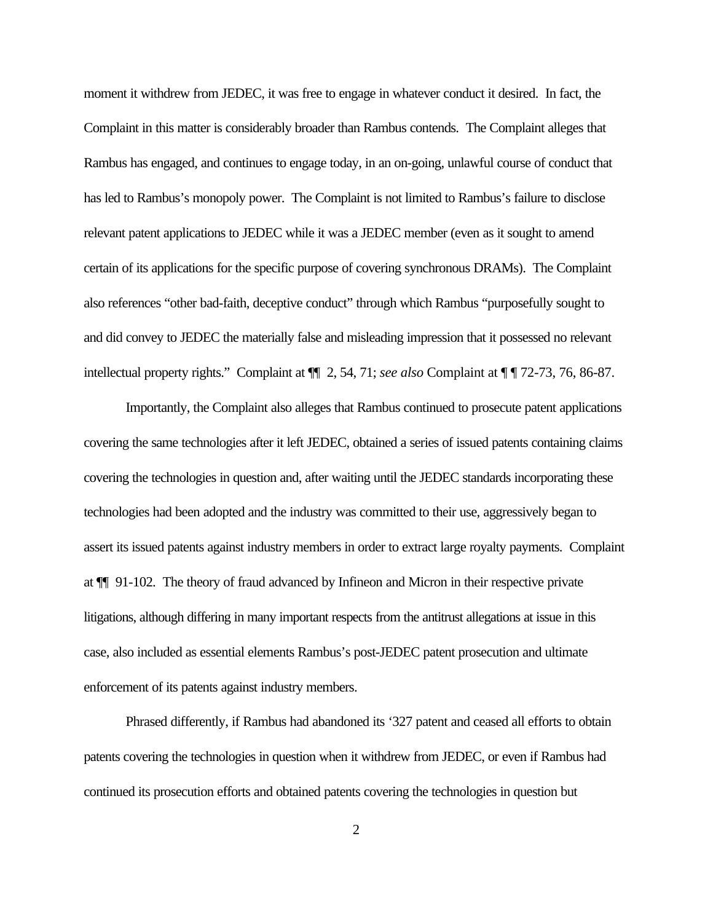moment it withdrew from JEDEC, it was free to engage in whatever conduct it desired. In fact, the Complaint in this matter is considerably broader than Rambus contends. The Complaint alleges that Rambus has engaged, and continues to engage today, in an on-going, unlawful course of conduct that has led to Rambus's monopoly power. The Complaint is not limited to Rambus's failure to disclose relevant patent applications to JEDEC while it was a JEDEC member (even as it sought to amend certain of its applications for the specific purpose of covering synchronous DRAMs). The Complaint also references "other bad-faith, deceptive conduct" through which Rambus "purposefully sought to and did convey to JEDEC the materially false and misleading impression that it possessed no relevant intellectual property rights." Complaint at ¶¶ 2, 54, 71; *see also* Complaint at ¶ ¶ 72-73, 76, 86-87.

Importantly, the Complaint also alleges that Rambus continued to prosecute patent applications covering the same technologies after it left JEDEC, obtained a series of issued patents containing claims covering the technologies in question and, after waiting until the JEDEC standards incorporating these technologies had been adopted and the industry was committed to their use, aggressively began to assert its issued patents against industry members in order to extract large royalty payments. Complaint at ¶¶ 91-102. The theory of fraud advanced by Infineon and Micron in their respective private litigations, although differing in many important respects from the antitrust allegations at issue in this case, also included as essential elements Rambus's post-JEDEC patent prosecution and ultimate enforcement of its patents against industry members.

Phrased differently, if Rambus had abandoned its '327 patent and ceased all efforts to obtain patents covering the technologies in question when it withdrew from JEDEC, or even if Rambus had continued its prosecution efforts and obtained patents covering the technologies in question but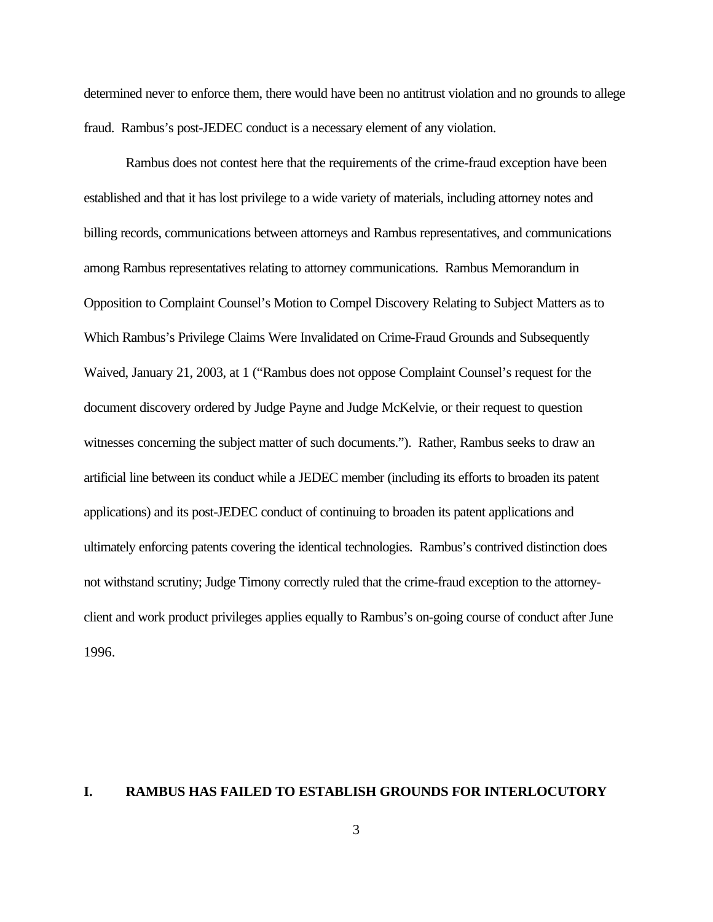determined never to enforce them, there would have been no antitrust violation and no grounds to allege fraud. Rambus's post-JEDEC conduct is a necessary element of any violation.

Rambus does not contest here that the requirements of the crime-fraud exception have been established and that it has lost privilege to a wide variety of materials, including attorney notes and billing records, communications between attorneys and Rambus representatives, and communications among Rambus representatives relating to attorney communications. Rambus Memorandum in Opposition to Complaint Counsel's Motion to Compel Discovery Relating to Subject Matters as to Which Rambus's Privilege Claims Were Invalidated on Crime-Fraud Grounds and Subsequently Waived, January 21, 2003, at 1 ("Rambus does not oppose Complaint Counsel's request for the document discovery ordered by Judge Payne and Judge McKelvie, or their request to question witnesses concerning the subject matter of such documents."). Rather, Rambus seeks to draw an artificial line between its conduct while a JEDEC member (including its efforts to broaden its patent applications) and its post-JEDEC conduct of continuing to broaden its patent applications and ultimately enforcing patents covering the identical technologies. Rambus's contrived distinction does not withstand scrutiny; Judge Timony correctly ruled that the crime-fraud exception to the attorneyclient and work product privileges applies equally to Rambus's on-going course of conduct after June 1996.

#### **I. RAMBUS HAS FAILED TO ESTABLISH GROUNDS FOR INTERLOCUTORY**

3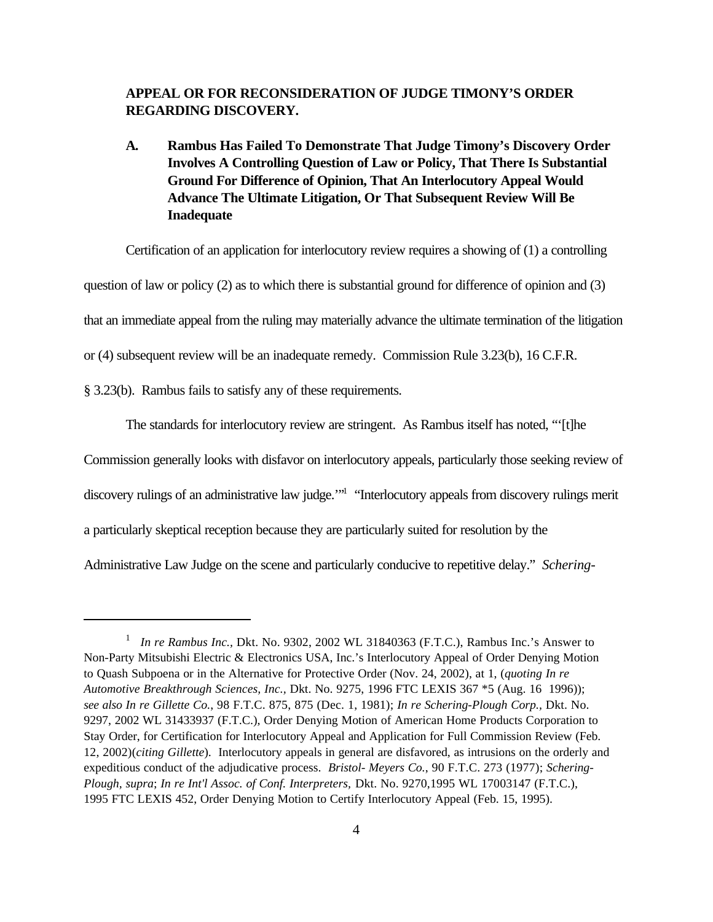## **APPEAL OR FOR RECONSIDERATION OF JUDGE TIMONY'S ORDER REGARDING DISCOVERY.**

**A. Rambus Has Failed To Demonstrate That Judge Timony's Discovery Order Involves A Controlling Question of Law or Policy, That There Is Substantial Ground For Difference of Opinion, That An Interlocutory Appeal Would Advance The Ultimate Litigation, Or That Subsequent Review Will Be Inadequate**

Certification of an application for interlocutory review requires a showing of (1) a controlling question of law or policy (2) as to which there is substantial ground for difference of opinion and (3) that an immediate appeal from the ruling may materially advance the ultimate termination of the litigation or (4) subsequent review will be an inadequate remedy. Commission Rule 3.23(b), 16 C.F.R.

§ 3.23(b). Rambus fails to satisfy any of these requirements.

The standards for interlocutory review are stringent. As Rambus itself has noted, "'[t]he

Commission generally looks with disfavor on interlocutory appeals, particularly those seeking review of

discovery rulings of an administrative law judge."<sup>1</sup> "Interlocutory appeals from discovery rulings merit

a particularly skeptical reception because they are particularly suited for resolution by the

Administrative Law Judge on the scene and particularly conducive to repetitive delay." *Schering-*

<sup>&</sup>lt;sup>1</sup> *In re Rambus Inc., Dkt. No.* 9302, 2002 WL 31840363 (F.T.C.), Rambus Inc.'s Answer to Non-Party Mitsubishi Electric & Electronics USA, Inc.'s Interlocutory Appeal of Order Denying Motion to Quash Subpoena or in the Alternative for Protective Order (Nov. 24, 2002), at 1, (*quoting In re Automotive Breakthrough Sciences, Inc.,* Dkt. No. 9275, 1996 FTC LEXIS 367 \*5 (Aug. 16 1996)); *see also In re Gillette Co.*, 98 F.T.C. 875, 875 (Dec. 1, 1981); *In re Schering-Plough Corp.,* Dkt. No. 9297, 2002 WL 31433937 (F.T.C.), Order Denying Motion of American Home Products Corporation to Stay Order, for Certification for Interlocutory Appeal and Application for Full Commission Review (Feb. 12, 2002)(*citing Gillette*). Interlocutory appeals in general are disfavored, as intrusions on the orderly and expeditious conduct of the adjudicative process. *Bristol- Meyers Co.*, 90 F.T.C. 273 (1977); *Schering-Plough, supra*; *In re Int'l Assoc. of Conf. Interpreters,* Dkt. No. 9270,1995 WL 17003147 (F.T.C.), 1995 FTC LEXIS 452, Order Denying Motion to Certify Interlocutory Appeal (Feb. 15, 1995).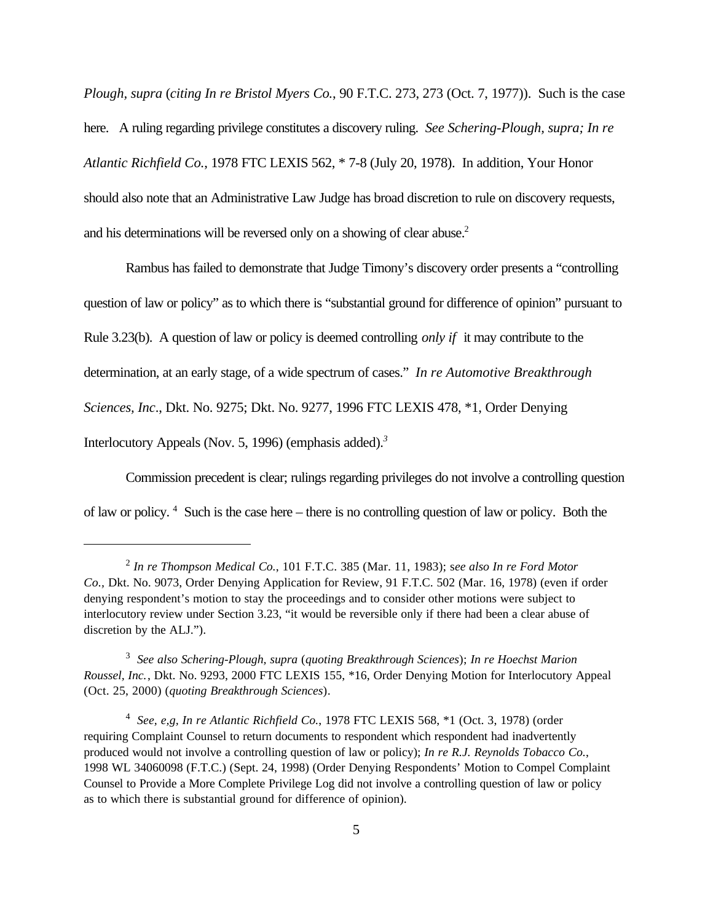*Plough, supra* (*citing In re Bristol Myers Co.*, 90 F.T.C. 273, 273 (Oct. 7, 1977)). Such is the case here. A ruling regarding privilege constitutes a discovery ruling. *See Schering-Plough, supra; In re Atlantic Richfield Co.*, 1978 FTC LEXIS 562, \* 7-8 (July 20, 1978). In addition, Your Honor should also note that an Administrative Law Judge has broad discretion to rule on discovery requests, and his determinations will be reversed only on a showing of clear abuse.<sup>2</sup>

Rambus has failed to demonstrate that Judge Timony's discovery order presents a "controlling question of law or policy" as to which there is "substantial ground for difference of opinion" pursuant to Rule 3.23(b). A question of law or policy is deemed controlling *only if* it may contribute to the determination, at an early stage, of a wide spectrum of cases." *In re Automotive Breakthrough Sciences, Inc*., Dkt. No. 9275; Dkt. No. 9277, 1996 FTC LEXIS 478, \*1, Order Denying Interlocutory Appeals (Nov. 5, 1996) (emphasis added).*<sup>3</sup>*

Commission precedent is clear; rulings regarding privileges do not involve a controlling question of law or policy.<sup>4</sup> Such is the case here – there is no controlling question of law or policy. Both the

<sup>2</sup> *In re Thompson Medical Co.*, 101 F.T.C. 385 (Mar. 11, 1983); s*ee also In re Ford Motor Co.,* Dkt. No. 9073, Order Denying Application for Review, 91 F.T.C. 502 (Mar. 16, 1978) (even if order denying respondent's motion to stay the proceedings and to consider other motions were subject to interlocutory review under Section 3.23, "it would be reversible only if there had been a clear abuse of discretion by the ALJ.").

<sup>3</sup> *See also Schering-Plough, supra* (*quoting Breakthrough Sciences*); *In re Hoechst Marion Roussel, Inc.*, Dkt. No. 9293, 2000 FTC LEXIS 155, \*16, Order Denying Motion for Interlocutory Appeal (Oct. 25, 2000) (*quoting Breakthrough Sciences*).

<sup>4</sup> *See, e,g, In re Atlantic Richfield Co.*, 1978 FTC LEXIS 568, \*1 (Oct. 3, 1978) (order requiring Complaint Counsel to return documents to respondent which respondent had inadvertently produced would not involve a controlling question of law or policy); *In re R.J. Reynolds Tobacco Co.*, 1998 WL 34060098 (F.T.C.) (Sept. 24, 1998) (Order Denying Respondents' Motion to Compel Complaint Counsel to Provide a More Complete Privilege Log did not involve a controlling question of law or policy as to which there is substantial ground for difference of opinion).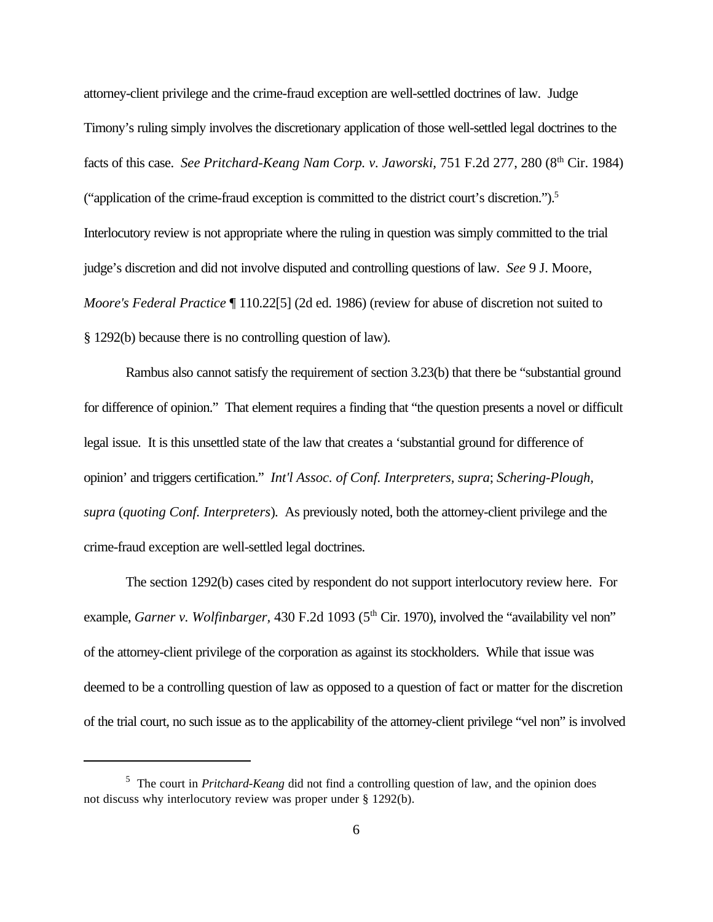attorney-client privilege and the crime-fraud exception are well-settled doctrines of law. Judge Timony's ruling simply involves the discretionary application of those well-settled legal doctrines to the facts of this case. *See Pritchard-Keang Nam Corp. v. Jaworski*, 751 F.2d 277, 280 (8<sup>th</sup> Cir. 1984) ("application of the crime-fraud exception is committed to the district court's discretion.").<sup>5</sup> Interlocutory review is not appropriate where the ruling in question was simply committed to the trial judge's discretion and did not involve disputed and controlling questions of law. *See* 9 J. Moore, *Moore's Federal Practice* ¶ 110.22[5] (2d ed. 1986) (review for abuse of discretion not suited to § 1292(b) because there is no controlling question of law).

Rambus also cannot satisfy the requirement of section 3.23(b) that there be "substantial ground for difference of opinion." That element requires a finding that "the question presents a novel or difficult legal issue. It is this unsettled state of the law that creates a 'substantial ground for difference of opinion' and triggers certification." *Int'l Assoc. of Conf. Interpreters, supra*; *Schering-Plough, supra* (*quoting Conf. Interpreters*). As previously noted, both the attorney-client privilege and the crime-fraud exception are well-settled legal doctrines.

The section 1292(b) cases cited by respondent do not support interlocutory review here. For example, *Garner v. Wolfinbarger*, 430 F.2d 1093 (5<sup>th</sup> Cir. 1970), involved the "availability vel non" of the attorney-client privilege of the corporation as against its stockholders. While that issue was deemed to be a controlling question of law as opposed to a question of fact or matter for the discretion of the trial court, no such issue as to the applicability of the attorney-client privilege "vel non" is involved

<sup>&</sup>lt;sup>5</sup> The court in *Pritchard-Keang* did not find a controlling question of law, and the opinion does not discuss why interlocutory review was proper under § 1292(b).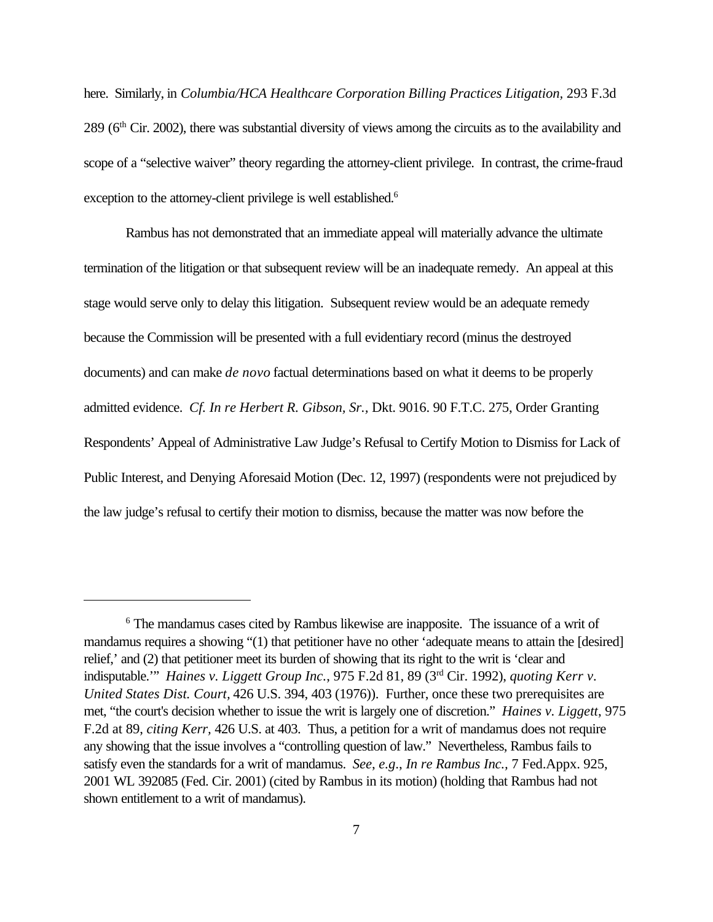here. Similarly, in *Columbia/HCA Healthcare Corporation Billing Practices Litigation,* 293 F.3d 289 (6th Cir. 2002), there was substantial diversity of views among the circuits as to the availability and scope of a "selective waiver" theory regarding the attorney-client privilege. In contrast, the crime-fraud exception to the attorney-client privilege is well established.<sup>6</sup>

Rambus has not demonstrated that an immediate appeal will materially advance the ultimate termination of the litigation or that subsequent review will be an inadequate remedy. An appeal at this stage would serve only to delay this litigation. Subsequent review would be an adequate remedy because the Commission will be presented with a full evidentiary record (minus the destroyed documents) and can make *de novo* factual determinations based on what it deems to be properly admitted evidence. *Cf. In re Herbert R. Gibson, Sr.,* Dkt. 9016. 90 F.T.C. 275, Order Granting Respondents' Appeal of Administrative Law Judge's Refusal to Certify Motion to Dismiss for Lack of Public Interest, and Denying Aforesaid Motion (Dec. 12, 1997) (respondents were not prejudiced by the law judge's refusal to certify their motion to dismiss, because the matter was now before the

<sup>6</sup> The mandamus cases cited by Rambus likewise are inapposite. The issuance of a writ of mandamus requires a showing "(1) that petitioner have no other 'adequate means to attain the [desired] relief,' and (2) that petitioner meet its burden of showing that its right to the writ is 'clear and indisputable.'" *Haines v. Liggett Group Inc.*, 975 F.2d 81, 89 (3rd Cir. 1992), *quoting Kerr v. United States Dist. Court,* 426 U.S. 394, 403 (1976)). Further, once these two prerequisites are met, "the court's decision whether to issue the writ is largely one of discretion." *Haines v. Liggett*, 975 F.2d at 89, *citing Kerr,* 426 U.S. at 403. Thus, a petition for a writ of mandamus does not require any showing that the issue involves a "controlling question of law." Nevertheless, Rambus fails to satisfy even the standards for a writ of mandamus. *See*, *e.g*., *In re Rambus Inc.,* 7 Fed.Appx. 925, 2001 WL 392085 (Fed. Cir. 2001) (cited by Rambus in its motion) (holding that Rambus had not shown entitlement to a writ of mandamus).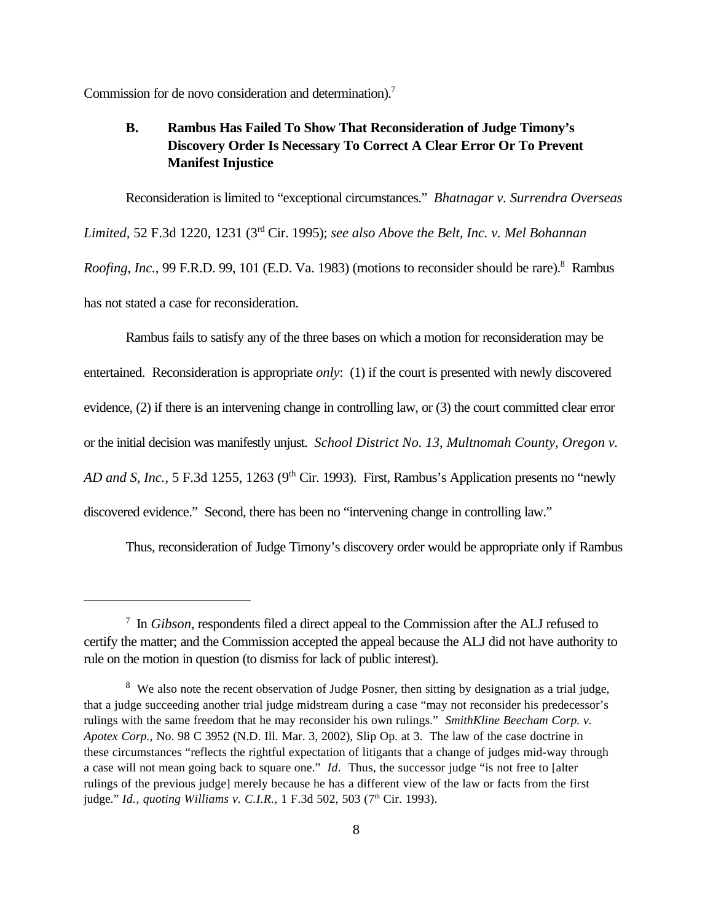Commission for de novo consideration and determination).<sup>7</sup>

# **B. Rambus Has Failed To Show That Reconsideration of Judge Timony's Discovery Order Is Necessary To Correct A Clear Error Or To Prevent Manifest Injustice**

Reconsideration is limited to "exceptional circumstances." *Bhatnagar v. Surrendra Overseas Limited,* 52 F.3d 1220, 1231 (3rd Cir. 1995); *see also Above the Belt, Inc. v. Mel Bohannan* Roofing, Inc., 99 F.R.D. 99, 101 (E.D. Va. 1983) (motions to reconsider should be rare).<sup>8</sup> Rambus has not stated a case for reconsideration.

Rambus fails to satisfy any of the three bases on which a motion for reconsideration may be entertained. Reconsideration is appropriate *only*: (1) if the court is presented with newly discovered evidence, (2) if there is an intervening change in controlling law, or (3) the court committed clear error or the initial decision was manifestly unjust. *School District No. 13, Multnomah County, Oregon v. AD and S, Inc.,* 5 F.3d 1255, 1263 (9<sup>th</sup> Cir. 1993). First, Rambus's Application presents no "newly discovered evidence." Second, there has been no "intervening change in controlling law."

Thus, reconsideration of Judge Timony's discovery order would be appropriate only if Rambus

<sup>7</sup> In *Gibson*, respondents filed a direct appeal to the Commission after the ALJ refused to certify the matter; and the Commission accepted the appeal because the ALJ did not have authority to rule on the motion in question (to dismiss for lack of public interest).

 $8$  We also note the recent observation of Judge Posner, then sitting by designation as a trial judge, that a judge succeeding another trial judge midstream during a case "may not reconsider his predecessor's rulings with the same freedom that he may reconsider his own rulings." *SmithKline Beecham Corp. v. Apotex Corp.,* No. 98 C 3952 (N.D. Ill. Mar. 3, 2002), Slip Op. at 3. The law of the case doctrine in these circumstances "reflects the rightful expectation of litigants that a change of judges mid-way through a case will not mean going back to square one." *Id.* Thus, the successor judge "is not free to [alter rulings of the previous judge] merely because he has a different view of the law or facts from the first judge." *Id., quoting Williams v. C.I.R.*, 1 F.3d 502, 503 (7<sup>th</sup> Cir. 1993).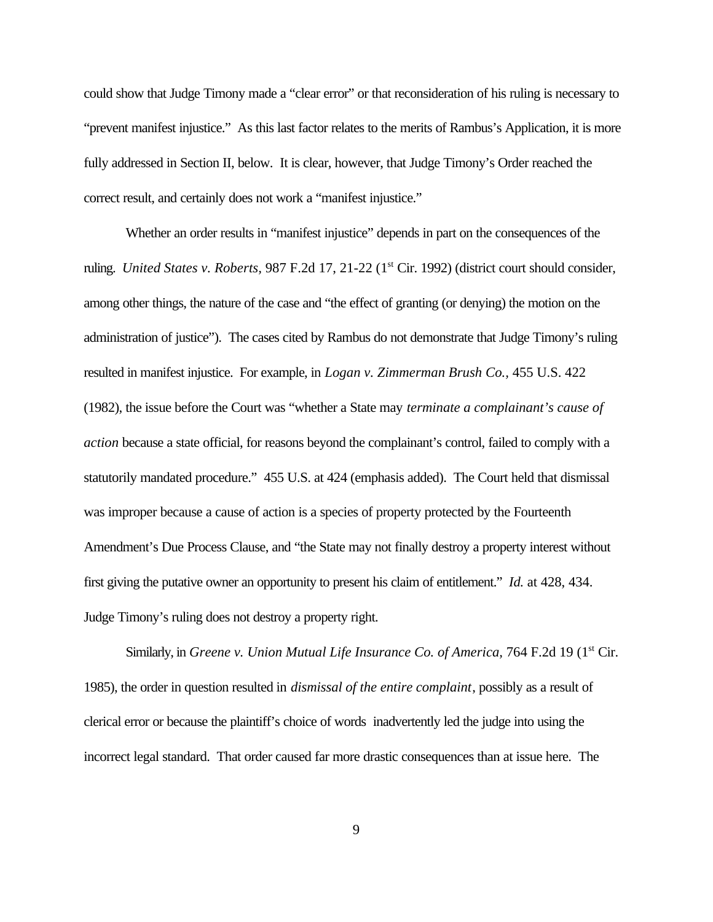could show that Judge Timony made a "clear error" or that reconsideration of his ruling is necessary to "prevent manifest injustice." As this last factor relates to the merits of Rambus's Application, it is more fully addressed in Section II, below. It is clear, however, that Judge Timony's Order reached the correct result, and certainly does not work a "manifest injustice."

Whether an order results in "manifest injustice" depends in part on the consequences of the ruling. *United States v. Roberts*, 987 F.2d 17, 21-22 (1<sup>st</sup> Cir. 1992) (district court should consider, among other things, the nature of the case and "the effect of granting (or denying) the motion on the administration of justice"). The cases cited by Rambus do not demonstrate that Judge Timony's ruling resulted in manifest injustice. For example, in *Logan v. Zimmerman Brush Co.,* 455 U.S. 422 (1982), the issue before the Court was "whether a State may *terminate a complainant's cause of action* because a state official, for reasons beyond the complainant's control, failed to comply with a statutorily mandated procedure." 455 U.S. at 424 (emphasis added). The Court held that dismissal was improper because a cause of action is a species of property protected by the Fourteenth Amendment's Due Process Clause, and "the State may not finally destroy a property interest without first giving the putative owner an opportunity to present his claim of entitlement." *Id.* at 428, 434. Judge Timony's ruling does not destroy a property right.

Similarly, in *Greene v. Union Mutual Life Insurance Co. of America*, 764 F.2d 19 (1<sup>st</sup> Cir. 1985), the order in question resulted in *dismissal of the entire complaint*, possibly as a result of clerical error or because the plaintiff's choice of words inadvertently led the judge into using the incorrect legal standard. That order caused far more drastic consequences than at issue here. The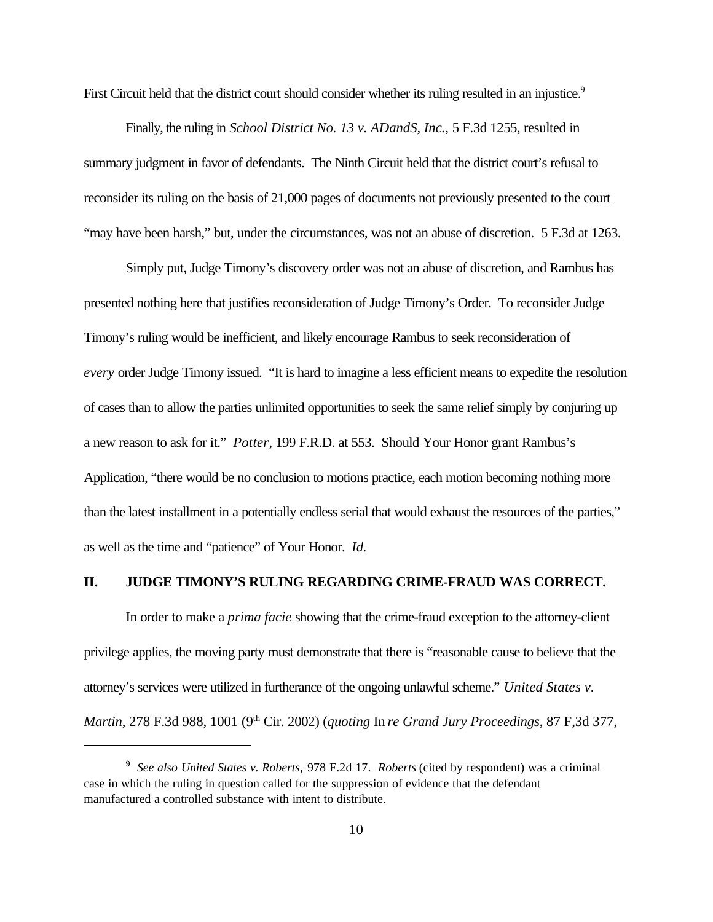First Circuit held that the district court should consider whether its ruling resulted in an injustice.<sup>9</sup>

Finally, the ruling in *School District No. 13 v. ADandS, Inc.,* 5 F.3d 1255, resulted in summary judgment in favor of defendants. The Ninth Circuit held that the district court's refusal to reconsider its ruling on the basis of 21,000 pages of documents not previously presented to the court "may have been harsh," but, under the circumstances, was not an abuse of discretion. 5 F.3d at 1263.

Simply put, Judge Timony's discovery order was not an abuse of discretion, and Rambus has presented nothing here that justifies reconsideration of Judge Timony's Order. To reconsider Judge Timony's ruling would be inefficient, and likely encourage Rambus to seek reconsideration of *every* order Judge Timony issued. "It is hard to imagine a less efficient means to expedite the resolution of cases than to allow the parties unlimited opportunities to seek the same relief simply by conjuring up a new reason to ask for it." *Potter*, 199 F.R.D. at 553. Should Your Honor grant Rambus's Application, "there would be no conclusion to motions practice, each motion becoming nothing more than the latest installment in a potentially endless serial that would exhaust the resources of the parties," as well as the time and "patience" of Your Honor. *Id.*

#### **II. JUDGE TIMONY'S RULING REGARDING CRIME-FRAUD WAS CORRECT.**

In order to make a *prima facie* showing that the crime-fraud exception to the attorney-client privilege applies, the moving party must demonstrate that there is "reasonable cause to believe that the attorney's services were utilized in furtherance of the ongoing unlawful scheme." *United States v. Martin*, 278 F.3d 988, 1001 (9th Cir. 2002) (*quoting* In *re Grand Jury Proceedings*, 87 F,3d 377,

<sup>9</sup> *See also United States v. Roberts,* 978 F.2d 17. *Roberts* (cited by respondent) was a criminal case in which the ruling in question called for the suppression of evidence that the defendant manufactured a controlled substance with intent to distribute.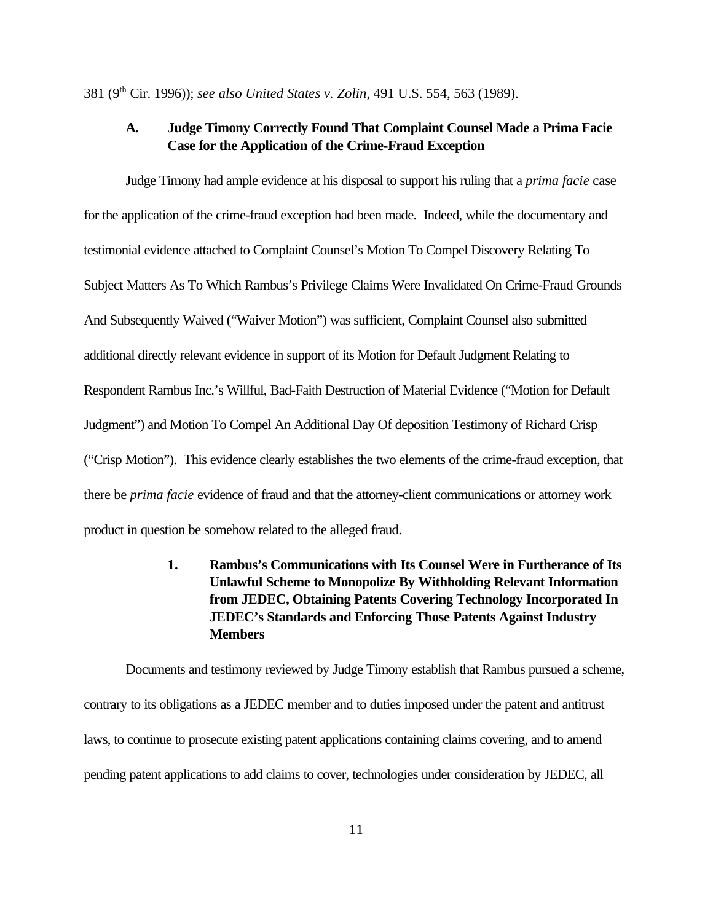381 (9th Cir. 1996)); *see also United States v. Zolin*, 491 U.S. 554, 563 (1989).

## **A. Judge Timony Correctly Found That Complaint Counsel Made a Prima Facie Case for the Application of the Crime-Fraud Exception**

Judge Timony had ample evidence at his disposal to support his ruling that a *prima facie* case for the application of the crime-fraud exception had been made. Indeed, while the documentary and testimonial evidence attached to Complaint Counsel's Motion To Compel Discovery Relating To Subject Matters As To Which Rambus's Privilege Claims Were Invalidated On Crime-Fraud Grounds And Subsequently Waived ("Waiver Motion") was sufficient, Complaint Counsel also submitted additional directly relevant evidence in support of its Motion for Default Judgment Relating to Respondent Rambus Inc.'s Willful, Bad-Faith Destruction of Material Evidence ("Motion for Default Judgment") and Motion To Compel An Additional Day Of deposition Testimony of Richard Crisp ("Crisp Motion"). This evidence clearly establishes the two elements of the crime-fraud exception, that there be *prima facie* evidence of fraud and that the attorney-client communications or attorney work product in question be somehow related to the alleged fraud.

> **1. Rambus's Communications with Its Counsel Were in Furtherance of Its Unlawful Scheme to Monopolize By Withholding Relevant Information from JEDEC, Obtaining Patents Covering Technology Incorporated In JEDEC's Standards and Enforcing Those Patents Against Industry Members**

Documents and testimony reviewed by Judge Timony establish that Rambus pursued a scheme, contrary to its obligations as a JEDEC member and to duties imposed under the patent and antitrust laws, to continue to prosecute existing patent applications containing claims covering, and to amend pending patent applications to add claims to cover, technologies under consideration by JEDEC, all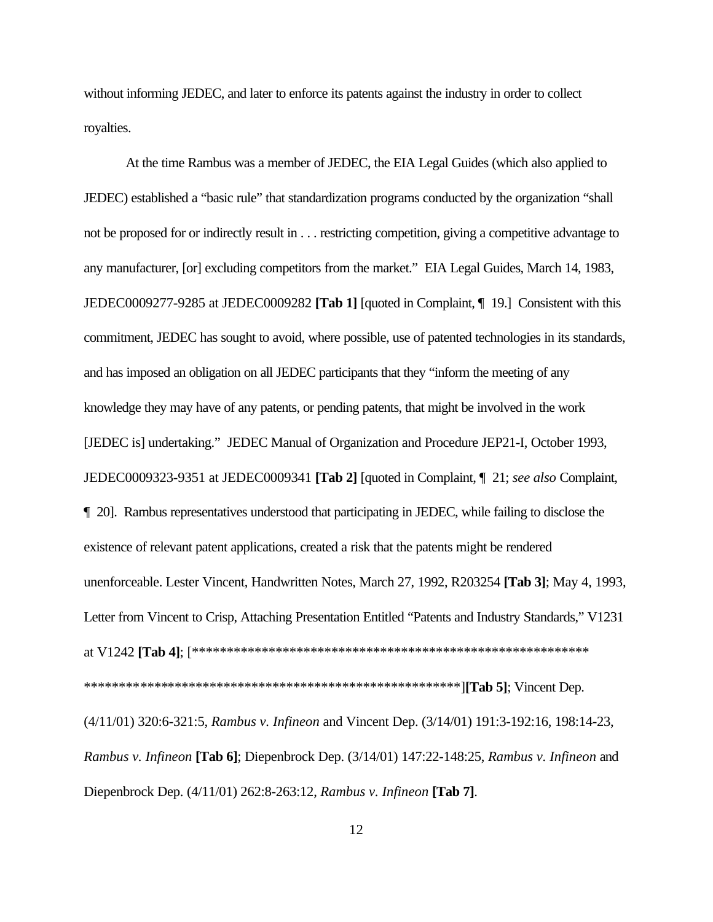without informing JEDEC, and later to enforce its patents against the industry in order to collect royalties.

At the time Rambus was a member of JEDEC, the EIA Legal Guides (which also applied to JEDEC) established a "basic rule" that standardization programs conducted by the organization "shall not be proposed for or indirectly result in . . . restricting competition, giving a competitive advantage to any manufacturer, [or] excluding competitors from the market." EIA Legal Guides, March 14, 1983, JEDEC0009277-9285 at JEDEC0009282 [Tab 1] [quoted in Complaint, ¶ 19.] Consistent with this commitment, JEDEC has sought to avoid, where possible, use of patented technologies in its standards, and has imposed an obligation on all JEDEC participants that they "inform the meeting of any knowledge they may have of any patents, or pending patents, that might be involved in the work [JEDEC is] undertaking." JEDEC Manual of Organization and Procedure JEP21-I, October 1993, JEDEC0009323-9351 at JEDEC0009341 [Tab 2] [quoted in Complaint, 1 21; see also Complaint, 1 20]. Rambus representatives understood that participating in JEDEC, while failing to disclose the existence of relevant patent applications, created a risk that the patents might be rendered unenforceable. Lester Vincent, Handwritten Notes, March 27, 1992, R203254 [Tab 3]; May 4, 1993, Letter from Vincent to Crisp, Attaching Presentation Entitled "Patents and Industry Standards," V1231 (4/11/01) 320:6-321:5, Rambus v. Infineon and Vincent Dep. (3/14/01) 191:3-192:16, 198:14-23, Rambus v. Infineon [Tab 6]; Diepenbrock Dep. (3/14/01) 147:22-148:25, Rambus v. Infineon and Diepenbrock Dep. (4/11/01) 262:8-263:12, Rambus v. Infineon [Tab 7].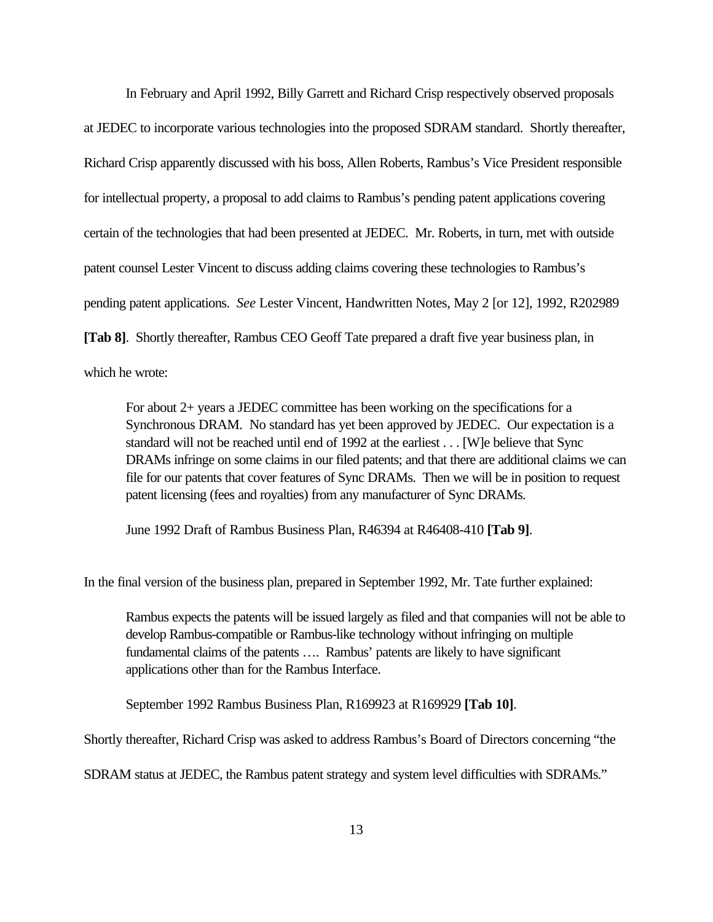In February and April 1992, Billy Garrett and Richard Crisp respectively observed proposals at JEDEC to incorporate various technologies into the proposed SDRAM standard. Shortly thereafter, Richard Crisp apparently discussed with his boss, Allen Roberts, Rambus's Vice President responsible for intellectual property, a proposal to add claims to Rambus's pending patent applications covering certain of the technologies that had been presented at JEDEC. Mr. Roberts, in turn, met with outside patent counsel Lester Vincent to discuss adding claims covering these technologies to Rambus's pending patent applications. *See* Lester Vincent, Handwritten Notes, May 2 [or 12], 1992, R202989 **[Tab 8]**. Shortly thereafter, Rambus CEO Geoff Tate prepared a draft five year business plan, in which he wrote:

For about 2+ years a JEDEC committee has been working on the specifications for a Synchronous DRAM. No standard has yet been approved by JEDEC. Our expectation is a standard will not be reached until end of 1992 at the earliest . . . [W]e believe that Sync DRAMs infringe on some claims in our filed patents; and that there are additional claims we can file for our patents that cover features of Sync DRAMs. Then we will be in position to request patent licensing (fees and royalties) from any manufacturer of Sync DRAMs.

June 1992 Draft of Rambus Business Plan, R46394 at R46408-410 **[Tab 9]**.

In the final version of the business plan, prepared in September 1992, Mr. Tate further explained:

Rambus expects the patents will be issued largely as filed and that companies will not be able to develop Rambus-compatible or Rambus-like technology without infringing on multiple fundamental claims of the patents …. Rambus' patents are likely to have significant applications other than for the Rambus Interface.

September 1992 Rambus Business Plan, R169923 at R169929 **[Tab 10]**.

Shortly thereafter, Richard Crisp was asked to address Rambus's Board of Directors concerning "the

SDRAM status at JEDEC, the Rambus patent strategy and system level difficulties with SDRAMs."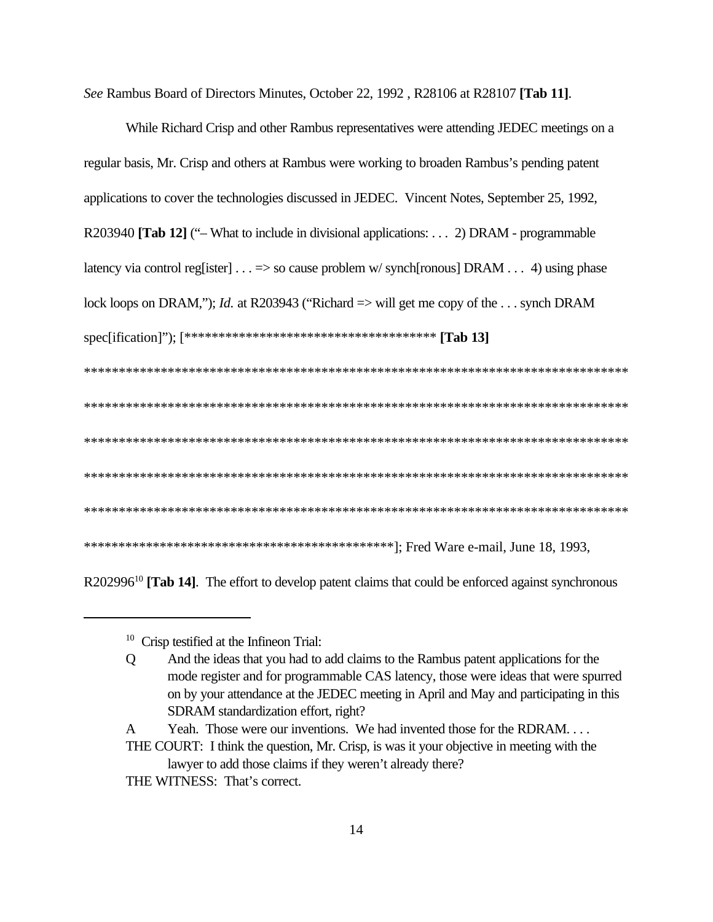See Rambus Board of Directors Minutes, October 22, 1992, R28106 at R28107 [Tab 11].

| While Richard Crisp and other Rambus representatives were attending JEDEC meetings on a                  |
|----------------------------------------------------------------------------------------------------------|
| regular basis, Mr. Crisp and others at Rambus were working to broaden Rambus's pending patent            |
| applications to cover the technologies discussed in JEDEC. Vincent Notes, September 25, 1992,            |
| R203940 [Tab 12] ("- What to include in divisional applications: 2) DRAM - programmable                  |
| latency via control reg[ister] = > so cause problem w/synch[ronous] DRAM 4) using phase                  |
| lock loops on DRAM,"); <i>Id.</i> at R203943 ("Richard $\Rightarrow$ will get me copy of the  synch DRAM |
|                                                                                                          |
|                                                                                                          |
|                                                                                                          |
|                                                                                                          |
|                                                                                                          |
|                                                                                                          |
|                                                                                                          |

R202996<sup>10</sup> [Tab 14]. The effort to develop patent claims that could be enforced against synchronous

THE WITNESS: That's correct.

<sup>&</sup>lt;sup>10</sup> Crisp testified at the Infineon Trial:

And the ideas that you had to add claims to the Rambus patent applications for the  $Q$ mode register and for programmable CAS latency, those were ideas that were spurred on by your attendance at the JEDEC meeting in April and May and participating in this SDRAM standardization effort, right?

Yeah. Those were our inventions. We had invented those for the RDRAM....  $\mathbf{A}$ 

THE COURT: I think the question, Mr. Crisp, is was it your objective in meeting with the lawyer to add those claims if they weren't already there?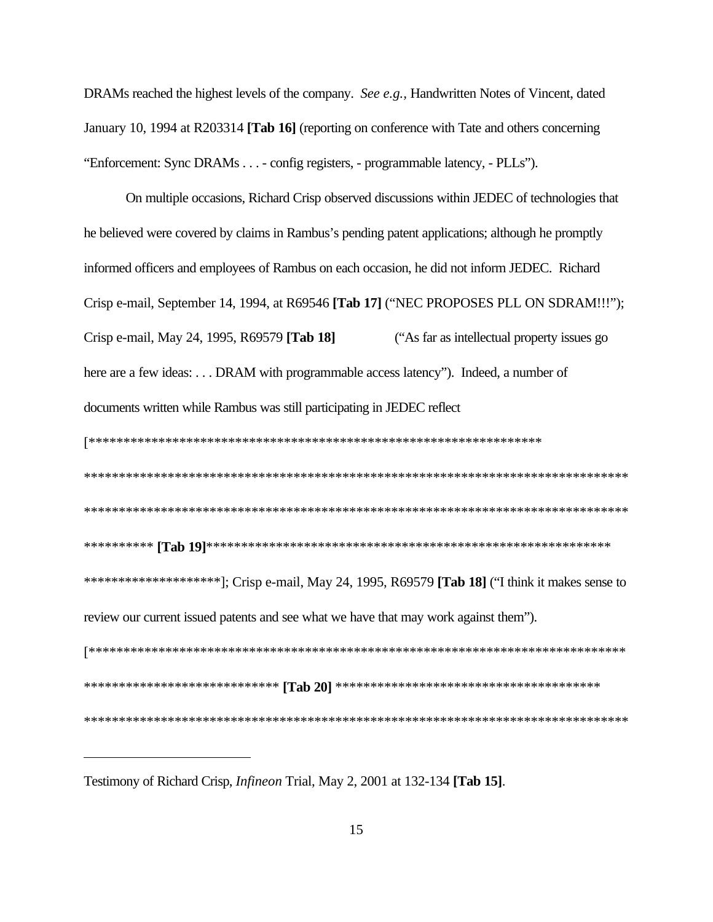DRAMs reached the highest levels of the company. See e.g., Handwritten Notes of Vincent, dated January 10, 1994 at R203314 [Tab 16] (reporting on conference with Tate and others concerning "Enforcement: Sync DRAMs . . . - config registers, - programmable latency, - PLLs").

On multiple occasions, Richard Crisp observed discussions within JEDEC of technologies that he believed were covered by claims in Rambus's pending patent applications; although he promptly informed officers and employees of Rambus on each occasion, he did not inform JEDEC. Richard Crisp e-mail, September 14, 1994, at R69546 [Tab 17] ("NEC PROPOSES PLL ON SDRAM!!!"); Crisp e-mail, May 24, 1995, R69579 [Tab 18] "As far as intellectual property issues go here are a few ideas: ... DRAM with programmable access latency"). Indeed, a number of documents written while Rambus was still participating in JEDEC reflect review our current issued patents and see what we have that may work against them"). 

Testimony of Richard Crisp, *Infineon* Trial, May 2, 2001 at 132-134 [Tab 15].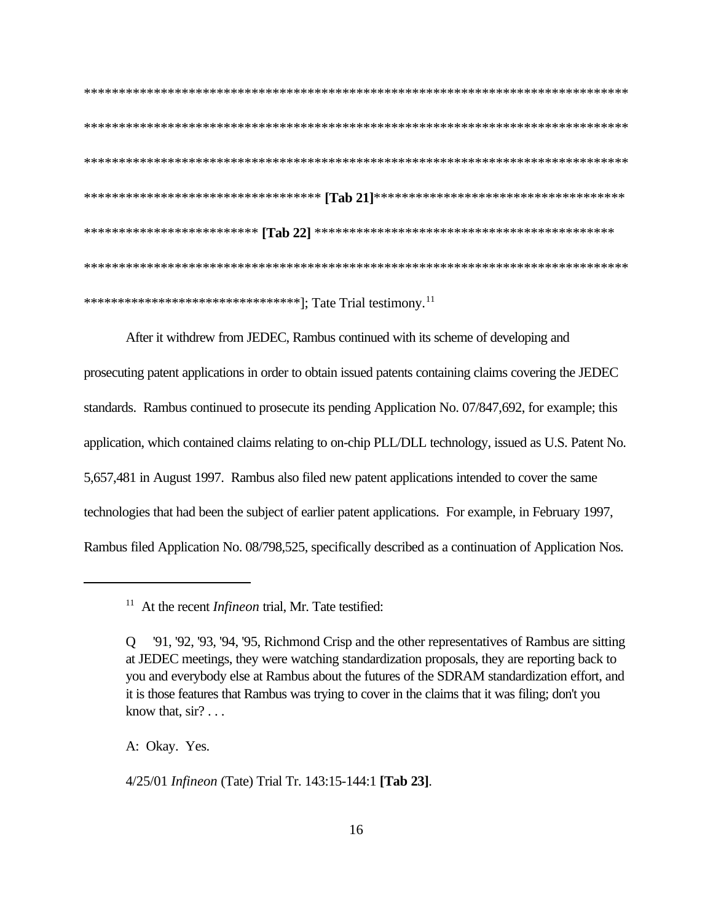\*\*\*\*\*\*\*\*\*\*\*\*\*\*\*\*\*\*\*\*\*\*\*\*\*\*\*\*\*\*\*\*\*]; Tate Trial testimony.<sup>11</sup>

After it withdrew from JEDEC, Rambus continued with its scheme of developing and prosecuting patent applications in order to obtain issued patents containing claims covering the JEDEC standards. Rambus continued to prosecute its pending Application No. 07/847,692, for example; this application, which contained claims relating to on-chip PLL/DLL technology, issued as U.S. Patent No. 5,657,481 in August 1997. Rambus also filed new patent applications intended to cover the same technologies that had been the subject of earlier patent applications. For example, in February 1997, Rambus filed Application No. 08/798,525, specifically described as a continuation of Application Nos.

A: Okay. Yes.

4/25/01 Infineon (Tate) Trial Tr. 143:15-144:1 [Tab 23].

 $11$  At the recent *Infineon* trial, Mr. Tate testified:

<sup>&#</sup>x27;91, '92, '93, '94, '95, Richmond Crisp and the other representatives of Rambus are sitting  $\overline{O}$ at JEDEC meetings, they were watching standardization proposals, they are reporting back to you and everybody else at Rambus about the futures of the SDRAM standardization effort, and it is those features that Rambus was trying to cover in the claims that it was filing; don't you know that,  $\sin$ ? . . .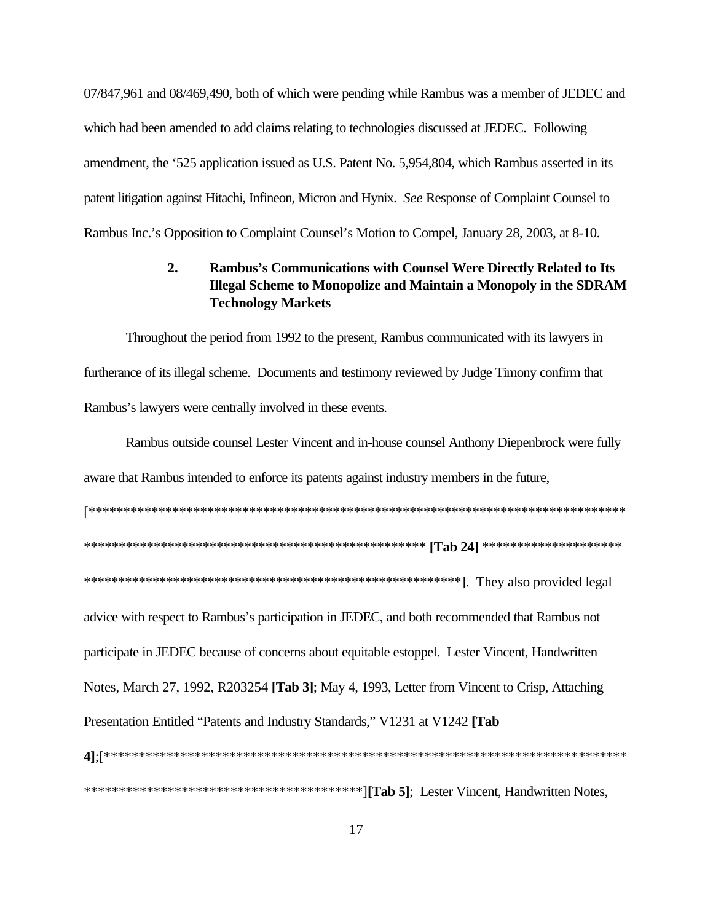07/847,961 and 08/469,490, both of which were pending while Rambus was a member of JEDEC and which had been amended to add claims relating to technologies discussed at JEDEC. Following amendment, the '525 application issued as U.S. Patent No. 5,954,804, which Rambus asserted in its patent litigation against Hitachi, Infineon, Micron and Hynix. See Response of Complaint Counsel to Rambus Inc.'s Opposition to Complaint Counsel's Motion to Compel, January 28, 2003, at 8-10.

#### $2.$ Rambus's Communications with Counsel Were Directly Related to Its **Illegal Scheme to Monopolize and Maintain a Monopoly in the SDRAM Technology Markets**

Throughout the period from 1992 to the present, Rambus communicated with its lawyers in furtherance of its illegal scheme. Documents and testimony reviewed by Judge Timony confirm that Rambus's lawyers were centrally involved in these events.

Rambus outside counsel Lester Vincent and in-house counsel Anthony Diepenbrock were fully aware that Rambus intended to enforce its patents against industry members in the future,

advice with respect to Rambus's participation in JEDEC, and both recommended that Rambus not participate in JEDEC because of concerns about equitable estoppel. Lester Vincent, Handwritten Notes, March 27, 1992, R203254 [Tab 3]; May 4, 1993, Letter from Vincent to Crisp, Attaching Presentation Entitled "Patents and Industry Standards," V1231 at V1242 [Tab]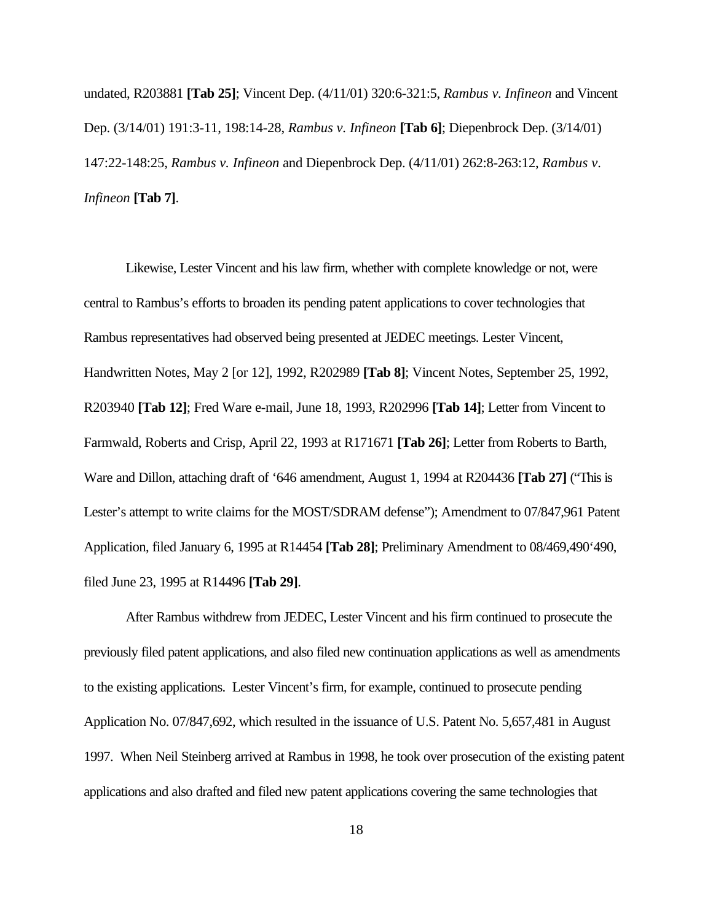undated, R203881 **[Tab 25]**; Vincent Dep. (4/11/01) 320:6-321:5, *Rambus v. Infineon* and Vincent Dep. (3/14/01) 191:3-11, 198:14-28, *Rambus v. Infineon* **[Tab 6]**; Diepenbrock Dep. (3/14/01) 147:22-148:25, *Rambus v. Infineon* and Diepenbrock Dep. (4/11/01) 262:8-263:12, *Rambus v. Infineon* **[Tab 7]**.

Likewise, Lester Vincent and his law firm, whether with complete knowledge or not, were central to Rambus's efforts to broaden its pending patent applications to cover technologies that Rambus representatives had observed being presented at JEDEC meetings. Lester Vincent, Handwritten Notes, May 2 [or 12], 1992, R202989 **[Tab 8]**; Vincent Notes, September 25, 1992, R203940 **[Tab 12]**; Fred Ware e-mail, June 18, 1993, R202996 **[Tab 14]**; Letter from Vincent to Farmwald, Roberts and Crisp, April 22, 1993 at R171671 **[Tab 26]**; Letter from Roberts to Barth, Ware and Dillon, attaching draft of '646 amendment, August 1, 1994 at R204436 **[Tab 27]** ("This is Lester's attempt to write claims for the MOST/SDRAM defense"); Amendment to 07/847,961 Patent Application, filed January 6, 1995 at R14454 **[Tab 28]**; Preliminary Amendment to 08/469,490'490, filed June 23, 1995 at R14496 **[Tab 29]**.

After Rambus withdrew from JEDEC, Lester Vincent and his firm continued to prosecute the previously filed patent applications, and also filed new continuation applications as well as amendments to the existing applications. Lester Vincent's firm, for example, continued to prosecute pending Application No. 07/847,692, which resulted in the issuance of U.S. Patent No. 5,657,481 in August 1997. When Neil Steinberg arrived at Rambus in 1998, he took over prosecution of the existing patent applications and also drafted and filed new patent applications covering the same technologies that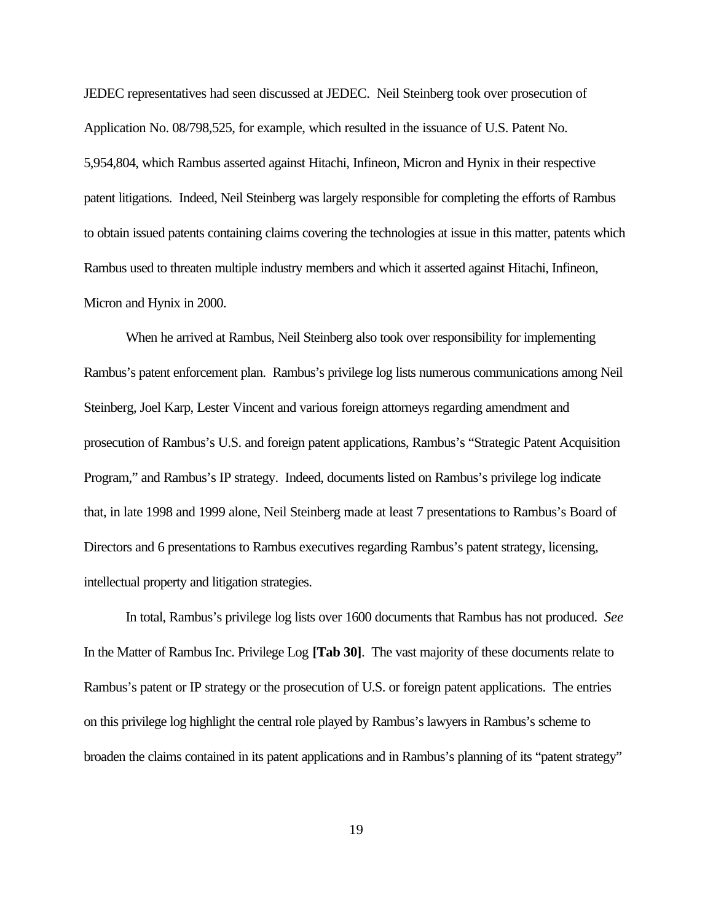JEDEC representatives had seen discussed at JEDEC. Neil Steinberg took over prosecution of Application No. 08/798,525, for example, which resulted in the issuance of U.S. Patent No. 5,954,804, which Rambus asserted against Hitachi, Infineon, Micron and Hynix in their respective patent litigations. Indeed, Neil Steinberg was largely responsible for completing the efforts of Rambus to obtain issued patents containing claims covering the technologies at issue in this matter, patents which Rambus used to threaten multiple industry members and which it asserted against Hitachi, Infineon, Micron and Hynix in 2000.

When he arrived at Rambus, Neil Steinberg also took over responsibility for implementing Rambus's patent enforcement plan. Rambus's privilege log lists numerous communications among Neil Steinberg, Joel Karp, Lester Vincent and various foreign attorneys regarding amendment and prosecution of Rambus's U.S. and foreign patent applications, Rambus's "Strategic Patent Acquisition Program," and Rambus's IP strategy. Indeed, documents listed on Rambus's privilege log indicate that, in late 1998 and 1999 alone, Neil Steinberg made at least 7 presentations to Rambus's Board of Directors and 6 presentations to Rambus executives regarding Rambus's patent strategy, licensing, intellectual property and litigation strategies.

In total, Rambus's privilege log lists over 1600 documents that Rambus has not produced. *See* In the Matter of Rambus Inc. Privilege Log **[Tab 30]**. The vast majority of these documents relate to Rambus's patent or IP strategy or the prosecution of U.S. or foreign patent applications. The entries on this privilege log highlight the central role played by Rambus's lawyers in Rambus's scheme to broaden the claims contained in its patent applications and in Rambus's planning of its "patent strategy"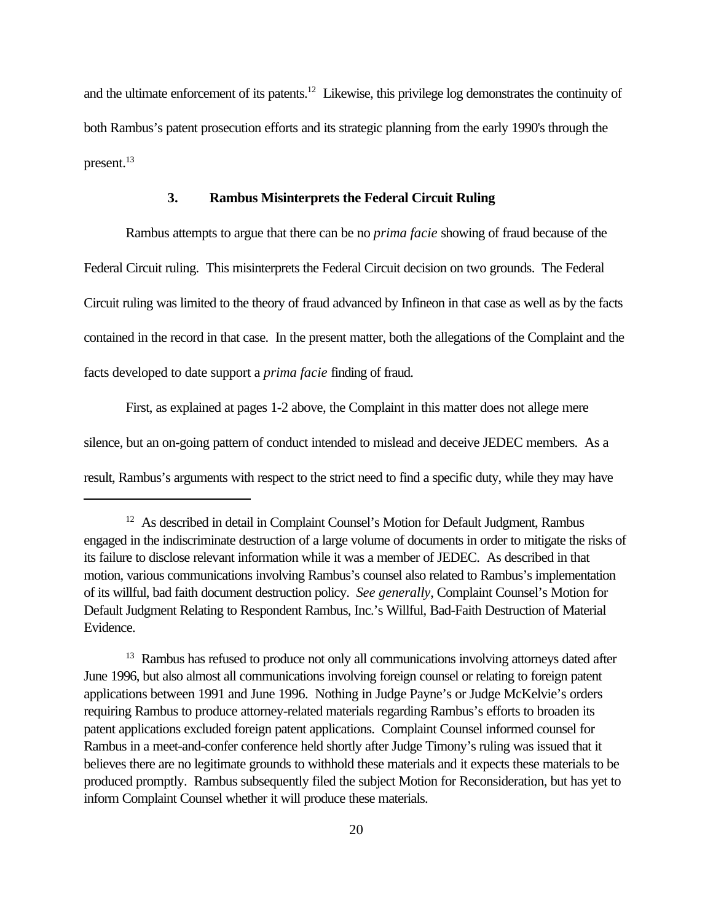and the ultimate enforcement of its patents.<sup>12</sup> Likewise, this privilege log demonstrates the continuity of both Rambus's patent prosecution efforts and its strategic planning from the early 1990's through the present.<sup>13</sup>

#### **3. Rambus Misinterprets the Federal Circuit Ruling**

Rambus attempts to argue that there can be no *prima facie* showing of fraud because of the Federal Circuit ruling. This misinterprets the Federal Circuit decision on two grounds. The Federal Circuit ruling was limited to the theory of fraud advanced by Infineon in that case as well as by the facts contained in the record in that case. In the present matter, both the allegations of the Complaint and the facts developed to date support a *prima facie* finding of fraud.

First, as explained at pages 1-2 above, the Complaint in this matter does not allege mere silence, but an on-going pattern of conduct intended to mislead and deceive JEDEC members. As a result, Rambus's arguments with respect to the strict need to find a specific duty, while they may have

<sup>&</sup>lt;sup>12</sup> As described in detail in Complaint Counsel's Motion for Default Judgment, Rambus engaged in the indiscriminate destruction of a large volume of documents in order to mitigate the risks of its failure to disclose relevant information while it was a member of JEDEC. As described in that motion, various communications involving Rambus's counsel also related to Rambus's implementation of its willful, bad faith document destruction policy. *See generally*, Complaint Counsel's Motion for Default Judgment Relating to Respondent Rambus, Inc.'s Willful, Bad-Faith Destruction of Material Evidence.

<sup>&</sup>lt;sup>13</sup> Rambus has refused to produce not only all communications involving attorneys dated after June 1996, but also almost all communications involving foreign counsel or relating to foreign patent applications between 1991 and June 1996. Nothing in Judge Payne's or Judge McKelvie's orders requiring Rambus to produce attorney-related materials regarding Rambus's efforts to broaden its patent applications excluded foreign patent applications. Complaint Counsel informed counsel for Rambus in a meet-and-confer conference held shortly after Judge Timony's ruling was issued that it believes there are no legitimate grounds to withhold these materials and it expects these materials to be produced promptly. Rambus subsequently filed the subject Motion for Reconsideration, but has yet to inform Complaint Counsel whether it will produce these materials.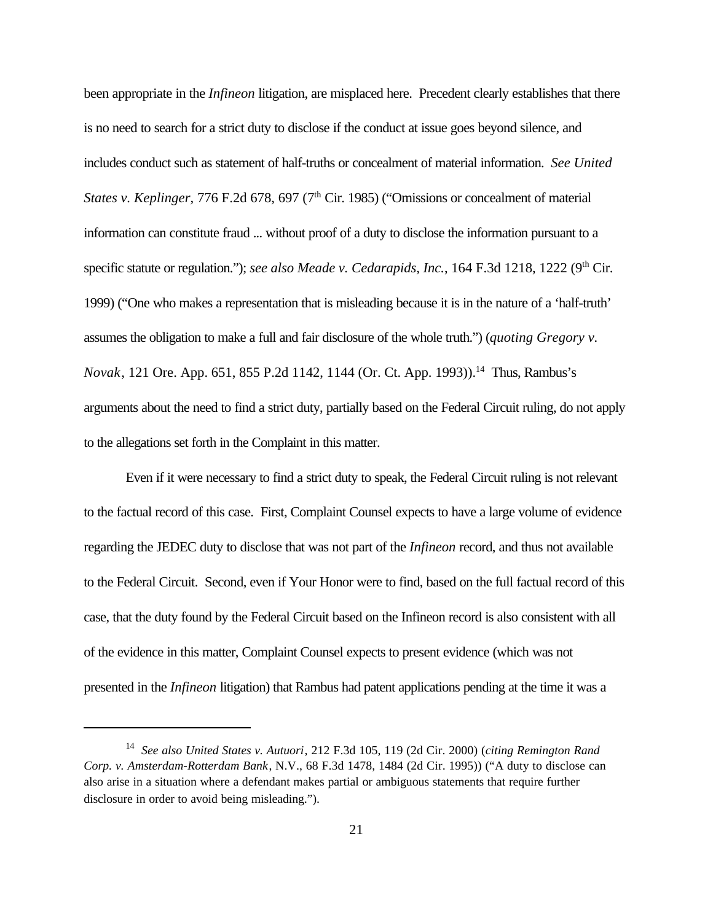been appropriate in the *Infineon* litigation, are misplaced here. Precedent clearly establishes that there is no need to search for a strict duty to disclose if the conduct at issue goes beyond silence, and includes conduct such as statement of half-truths or concealment of material information. *See United States v. Keplinger*, 776 F.2d 678, 697 (7<sup>th</sup> Cir. 1985) ("Omissions or concealment of material information can constitute fraud ... without proof of a duty to disclose the information pursuant to a specific statute or regulation."); *see also Meade v. Cedarapids, Inc.*, 164 F.3d 1218, 1222 (9<sup>th</sup> Cir. 1999) ("One who makes a representation that is misleading because it is in the nature of a 'half-truth' assumes the obligation to make a full and fair disclosure of the whole truth.") (*quoting Gregory v. Novak*, 121 Ore. App. 651, 855 P.2d 1142, 1144 (Or. Ct. App. 1993)).<sup>14</sup> Thus, Rambus's arguments about the need to find a strict duty, partially based on the Federal Circuit ruling, do not apply to the allegations set forth in the Complaint in this matter.

Even if it were necessary to find a strict duty to speak, the Federal Circuit ruling is not relevant to the factual record of this case. First, Complaint Counsel expects to have a large volume of evidence regarding the JEDEC duty to disclose that was not part of the *Infineon* record, and thus not available to the Federal Circuit. Second, even if Your Honor were to find, based on the full factual record of this case, that the duty found by the Federal Circuit based on the Infineon record is also consistent with all of the evidence in this matter, Complaint Counsel expects to present evidence (which was not presented in the *Infineon* litigation) that Rambus had patent applications pending at the time it was a

<sup>14</sup> *See also United States v. Autuori*, 212 F.3d 105, 119 (2d Cir. 2000) (*citing Remington Rand Corp. v. Amsterdam-Rotterdam Bank*, N.V., 68 F.3d 1478, 1484 (2d Cir. 1995)) ("A duty to disclose can also arise in a situation where a defendant makes partial or ambiguous statements that require further disclosure in order to avoid being misleading.").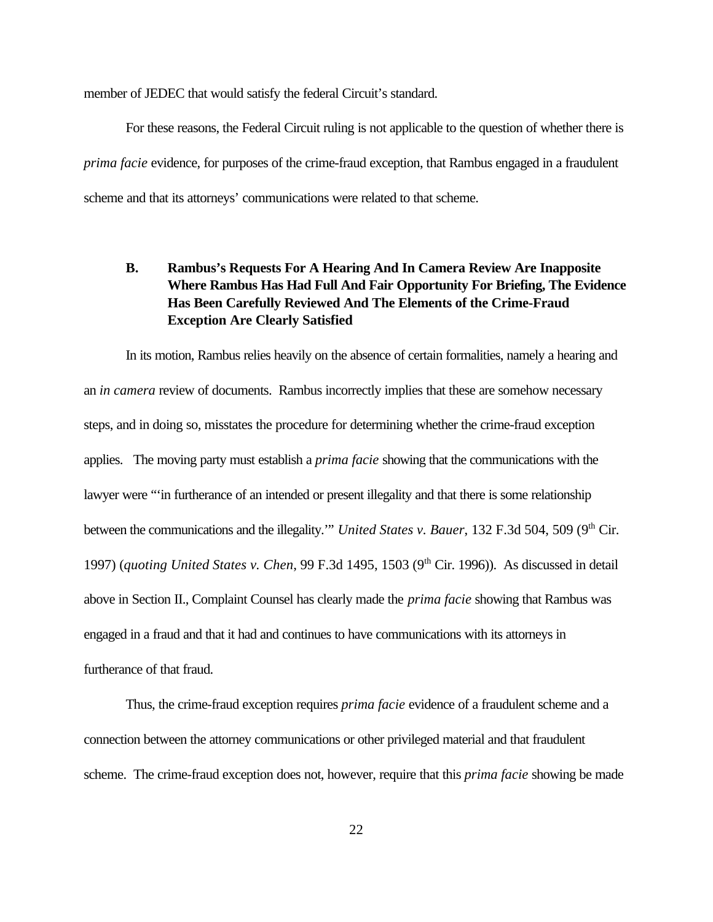member of JEDEC that would satisfy the federal Circuit's standard.

For these reasons, the Federal Circuit ruling is not applicable to the question of whether there is *prima facie* evidence, for purposes of the crime-fraud exception, that Rambus engaged in a fraudulent scheme and that its attorneys' communications were related to that scheme.

# **B. Rambus's Requests For A Hearing And In Camera Review Are Inapposite Where Rambus Has Had Full And Fair Opportunity For Briefing, The Evidence Has Been Carefully Reviewed And The Elements of the Crime-Fraud Exception Are Clearly Satisfied**

In its motion, Rambus relies heavily on the absence of certain formalities, namely a hearing and an *in camera* review of documents. Rambus incorrectly implies that these are somehow necessary steps, and in doing so, misstates the procedure for determining whether the crime-fraud exception applies. The moving party must establish a *prima facie* showing that the communications with the lawyer were "'in furtherance of an intended or present illegality and that there is some relationship between the communications and the illegality."" *United States v. Bauer*, 132 F.3d 504, 509 (9<sup>th</sup> Cir. 1997) (*quoting United States v. Chen*, 99 F.3d 1495, 1503 (9th Cir. 1996)). As discussed in detail above in Section II., Complaint Counsel has clearly made the *prima facie* showing that Rambus was engaged in a fraud and that it had and continues to have communications with its attorneys in furtherance of that fraud.

Thus, the crime-fraud exception requires *prima facie* evidence of a fraudulent scheme and a connection between the attorney communications or other privileged material and that fraudulent scheme. The crime-fraud exception does not, however, require that this *prima facie* showing be made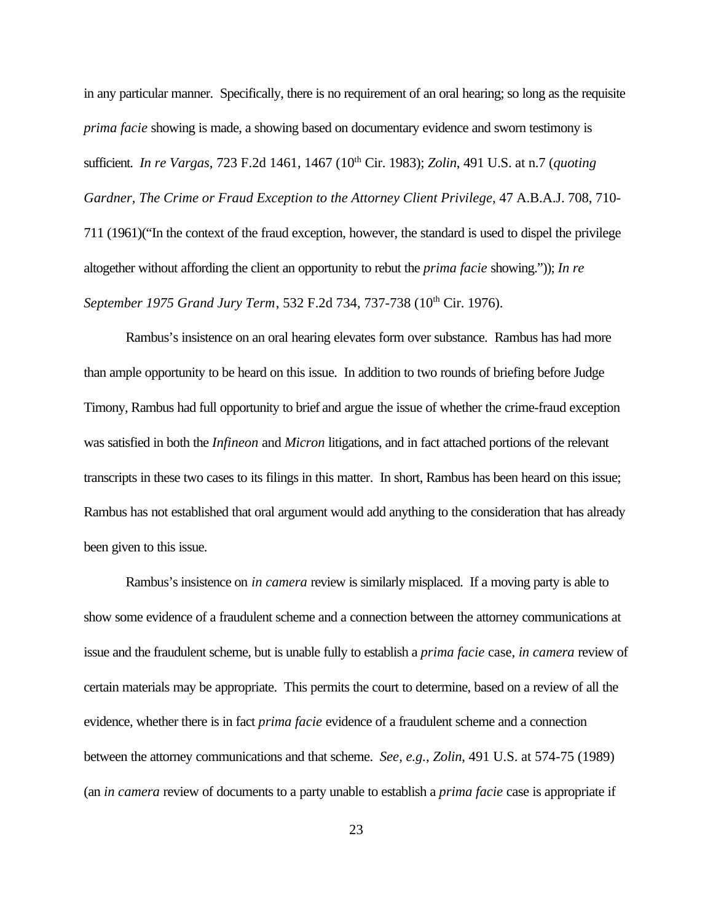in any particular manner. Specifically, there is no requirement of an oral hearing; so long as the requisite *prima facie* showing is made, a showing based on documentary evidence and sworn testimony is sufficient. *In re Vargas*, 723 F.2d 1461, 1467 (10<sup>th</sup> Cir. 1983); *Zolin*, 491 U.S. at n.7 (*quoting Gardner, The Crime or Fraud Exception to the Attorney Client Privilege*, 47 A.B.A.J. 708, 710- 711 (1961)("In the context of the fraud exception, however, the standard is used to dispel the privilege altogether without affording the client an opportunity to rebut the *prima facie* showing.")); *In re September 1975 Grand Jury Term, 532 F.2d 734, 737-738 (10<sup>th</sup> Cir. 1976).* 

Rambus's insistence on an oral hearing elevates form over substance. Rambus has had more than ample opportunity to be heard on this issue. In addition to two rounds of briefing before Judge Timony, Rambus had full opportunity to brief and argue the issue of whether the crime-fraud exception was satisfied in both the *Infineon* and *Micron* litigations, and in fact attached portions of the relevant transcripts in these two cases to its filings in this matter. In short, Rambus has been heard on this issue; Rambus has not established that oral argument would add anything to the consideration that has already been given to this issue.

Rambus's insistence on *in camera* review is similarly misplaced. If a moving party is able to show some evidence of a fraudulent scheme and a connection between the attorney communications at issue and the fraudulent scheme, but is unable fully to establish a *prima facie* case, *in camera* review of certain materials may be appropriate. This permits the court to determine, based on a review of all the evidence, whether there is in fact *prima facie* evidence of a fraudulent scheme and a connection between the attorney communications and that scheme. *See, e.g.*, *Zolin*, 491 U.S. at 574-75 (1989) (an *in camera* review of documents to a party unable to establish a *prima facie* case is appropriate if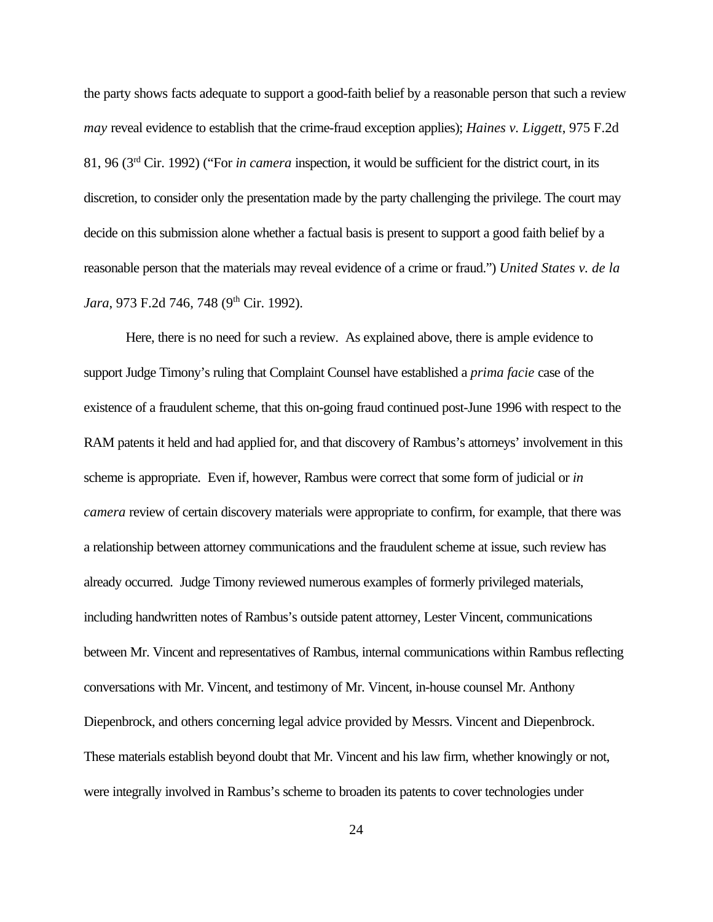the party shows facts adequate to support a good-faith belief by a reasonable person that such a review *may* reveal evidence to establish that the crime-fraud exception applies); *Haines v. Liggett*, 975 F.2d 81, 96 (3rd Cir. 1992) ("For *in camera* inspection, it would be sufficient for the district court, in its discretion, to consider only the presentation made by the party challenging the privilege. The court may decide on this submission alone whether a factual basis is present to support a good faith belief by a reasonable person that the materials may reveal evidence of a crime or fraud.") *United States v. de la* Jara, 973 F.2d 746, 748 (9<sup>th</sup> Cir. 1992).

Here, there is no need for such a review. As explained above, there is ample evidence to support Judge Timony's ruling that Complaint Counsel have established a *prima facie* case of the existence of a fraudulent scheme, that this on-going fraud continued post-June 1996 with respect to the RAM patents it held and had applied for, and that discovery of Rambus's attorneys' involvement in this scheme is appropriate. Even if, however, Rambus were correct that some form of judicial or *in camera* review of certain discovery materials were appropriate to confirm, for example, that there was a relationship between attorney communications and the fraudulent scheme at issue, such review has already occurred. Judge Timony reviewed numerous examples of formerly privileged materials, including handwritten notes of Rambus's outside patent attorney, Lester Vincent, communications between Mr. Vincent and representatives of Rambus, internal communications within Rambus reflecting conversations with Mr. Vincent, and testimony of Mr. Vincent, in-house counsel Mr. Anthony Diepenbrock, and others concerning legal advice provided by Messrs. Vincent and Diepenbrock. These materials establish beyond doubt that Mr. Vincent and his law firm, whether knowingly or not, were integrally involved in Rambus's scheme to broaden its patents to cover technologies under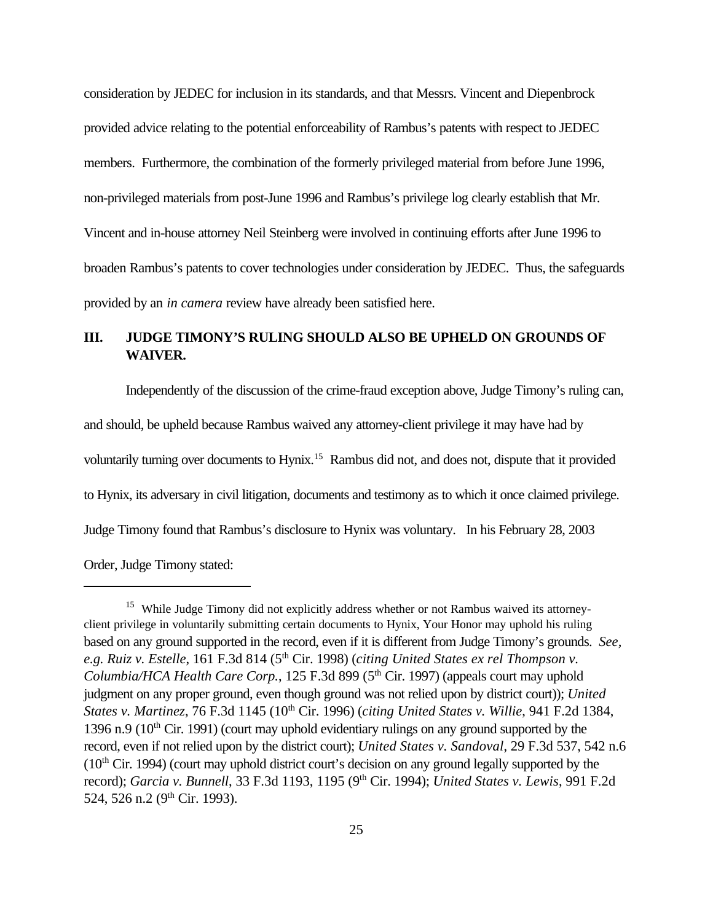consideration by JEDEC for inclusion in its standards, and that Messrs. Vincent and Diepenbrock provided advice relating to the potential enforceability of Rambus's patents with respect to JEDEC members. Furthermore, the combination of the formerly privileged material from before June 1996, non-privileged materials from post-June 1996 and Rambus's privilege log clearly establish that Mr. Vincent and in-house attorney Neil Steinberg were involved in continuing efforts after June 1996 to broaden Rambus's patents to cover technologies under consideration by JEDEC. Thus, the safeguards provided by an *in camera* review have already been satisfied here.

## **III. JUDGE TIMONY'S RULING SHOULD ALSO BE UPHELD ON GROUNDS OF WAIVER.**

Independently of the discussion of the crime-fraud exception above, Judge Timony's ruling can, and should, be upheld because Rambus waived any attorney-client privilege it may have had by voluntarily turning over documents to Hynix.<sup>15</sup> Rambus did not, and does not, dispute that it provided to Hynix, its adversary in civil litigation, documents and testimony as to which it once claimed privilege. Judge Timony found that Rambus's disclosure to Hynix was voluntary. In his February 28, 2003

Order, Judge Timony stated:

<sup>&</sup>lt;sup>15</sup> While Judge Timony did not explicitly address whether or not Rambus waived its attorneyclient privilege in voluntarily submitting certain documents to Hynix, Your Honor may uphold his ruling based on any ground supported in the record, even if it is different from Judge Timony's grounds. *See, e.g. Ruiz v. Estelle*, 161 F.3d 814 (5th Cir. 1998) (*citing United States ex rel Thompson v. Columbia/HCA Health Care Corp.*, 125 F.3d 899 (5<sup>th</sup> Cir. 1997) (appeals court may uphold judgment on any proper ground, even though ground was not relied upon by district court)); *United States v. Martinez*, 76 F.3d 1145 (10th Cir. 1996) (*citing United States v. Willie*, 941 F.2d 1384, 1396 n.9 ( $10<sup>th</sup>$  Cir. 1991) (court may uphold evidentiary rulings on any ground supported by the record, even if not relied upon by the district court); *United States v. Sandoval*, 29 F.3d 537, 542 n.6  $(10<sup>th</sup> Cir. 1994)$  (court may uphold district court's decision on any ground legally supported by the record); *Garcia v. Bunnell*, 33 F.3d 1193, 1195 (9<sup>th</sup> Cir. 1994); *United States v. Lewis*, 991 F.2d 524, 526 n.2 (9<sup>th</sup> Cir. 1993).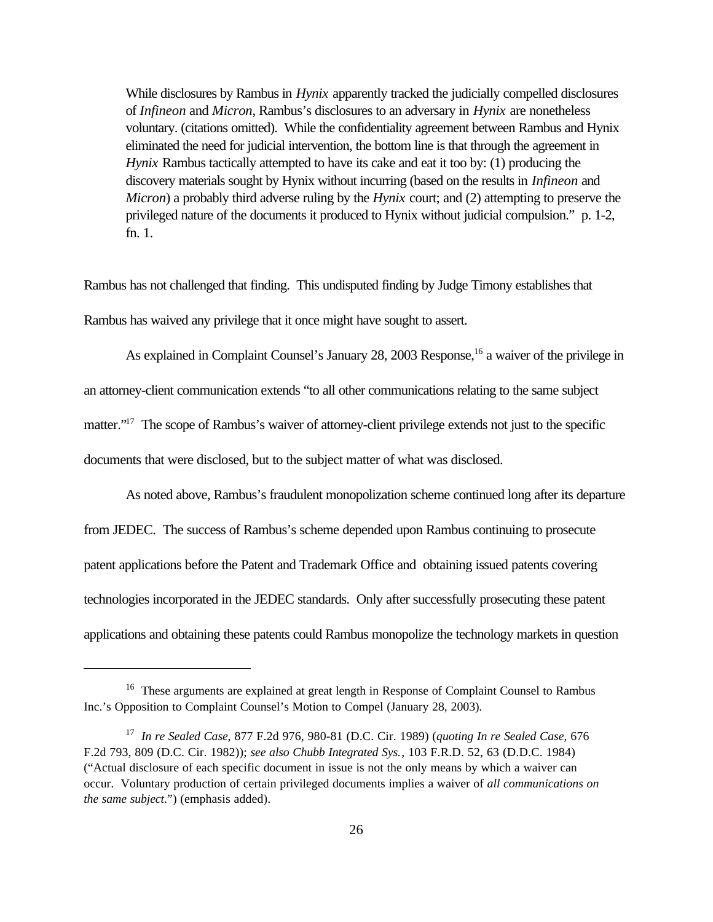While disclosures by Rambus in *Hynix* apparently tracked the judicially compelled disclosures of *Infineon* and *Micron*, Rambus's disclosures to an adversary in *Hynix* are nonetheless voluntary. (citations omitted). While the confidentiality agreement between Rambus and Hynix eliminated the need for judicial intervention, the bottom line is that through the agreement in *Hynix* Rambus tactically attempted to have its cake and eat it too by: (1) producing the discovery materials sought by Hynix without incurring (based on the results in *Infineon* and *Micron*) a probably third adverse ruling by the *Hynix* court; and (2) attempting to preserve the privileged nature of the documents it produced to Hynix without judicial compulsion." p. 1-2, fn. 1.

Rambus has not challenged that finding. This undisputed finding by Judge Timony establishes that Rambus has waived any privilege that it once might have sought to assert.

As explained in Complaint Counsel's January 28, 2003 Response,<sup>16</sup> a waiver of the privilege in an attorney-client communication extends "to all other communications relating to the same subject matter."<sup>17</sup> The scope of Rambus's waiver of attorney-client privilege extends not just to the specific documents that were disclosed, but to the subject matter of what was disclosed.

As noted above, Rambus's fraudulent monopolization scheme continued long after its departure from JEDEC. The success of Rambus's scheme depended upon Rambus continuing to prosecute patent applications before the Patent and Trademark Office and obtaining issued patents covering technologies incorporated in the JEDEC standards. Only after successfully prosecuting these patent applications and obtaining these patents could Rambus monopolize the technology markets in question

<sup>&</sup>lt;sup>16</sup> These arguments are explained at great length in Response of Complaint Counsel to Rambus Inc.'s Opposition to Complaint Counsel's Motion to Compel (January 28, 2003)*.*

<sup>17</sup> *In re Sealed Case*, 877 F.2d 976, 980-81 (D.C. Cir. 1989) (*quoting In re Sealed Case*, 676 F.2d 793, 809 (D.C. Cir. 1982)); *see also Chubb Integrated Sys.*, 103 F.R.D. 52, 63 (D.D.C. 1984) ("Actual disclosure of each specific document in issue is not the only means by which a waiver can occur. Voluntary production of certain privileged documents implies a waiver of *all communications on the same subject*.") (emphasis added).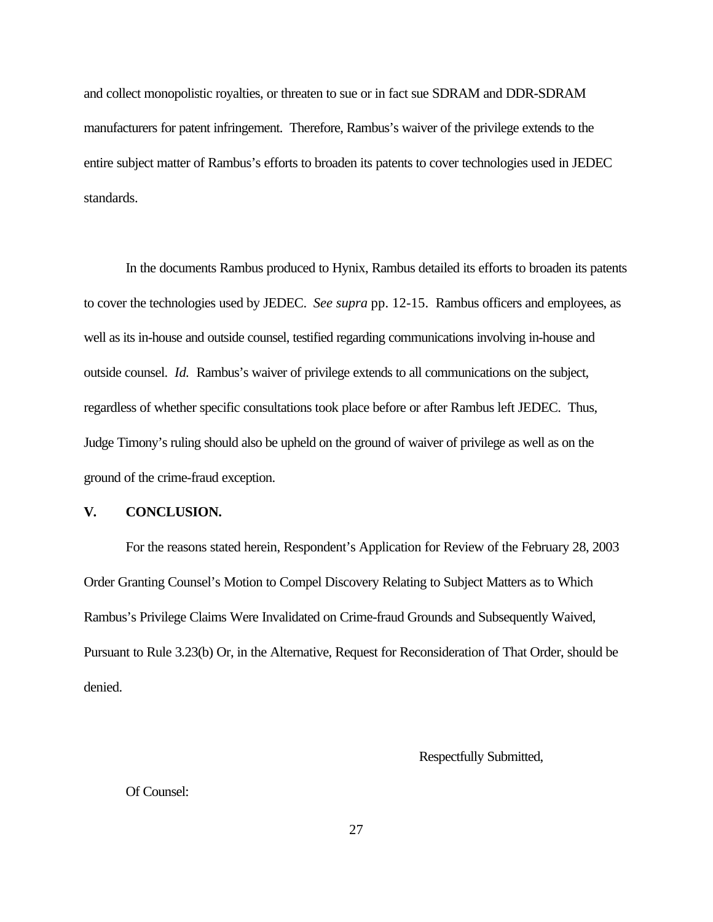and collect monopolistic royalties, or threaten to sue or in fact sue SDRAM and DDR-SDRAM manufacturers for patent infringement. Therefore, Rambus's waiver of the privilege extends to the entire subject matter of Rambus's efforts to broaden its patents to cover technologies used in JEDEC standards.

In the documents Rambus produced to Hynix, Rambus detailed its efforts to broaden its patents to cover the technologies used by JEDEC. *See supra* pp. 12-15.Rambus officers and employees, as well as its in-house and outside counsel, testified regarding communications involving in-house and outside counsel. *Id.* Rambus's waiver of privilege extends to all communications on the subject, regardless of whether specific consultations took place before or after Rambus left JEDEC. Thus, Judge Timony's ruling should also be upheld on the ground of waiver of privilege as well as on the ground of the crime-fraud exception.

### **V. CONCLUSION.**

For the reasons stated herein, Respondent's Application for Review of the February 28, 2003 Order Granting Counsel's Motion to Compel Discovery Relating to Subject Matters as to Which Rambus's Privilege Claims Were Invalidated on Crime-fraud Grounds and Subsequently Waived, Pursuant to Rule 3.23(b) Or, in the Alternative, Request for Reconsideration of That Order, should be denied.

Respectfully Submitted,

Of Counsel: